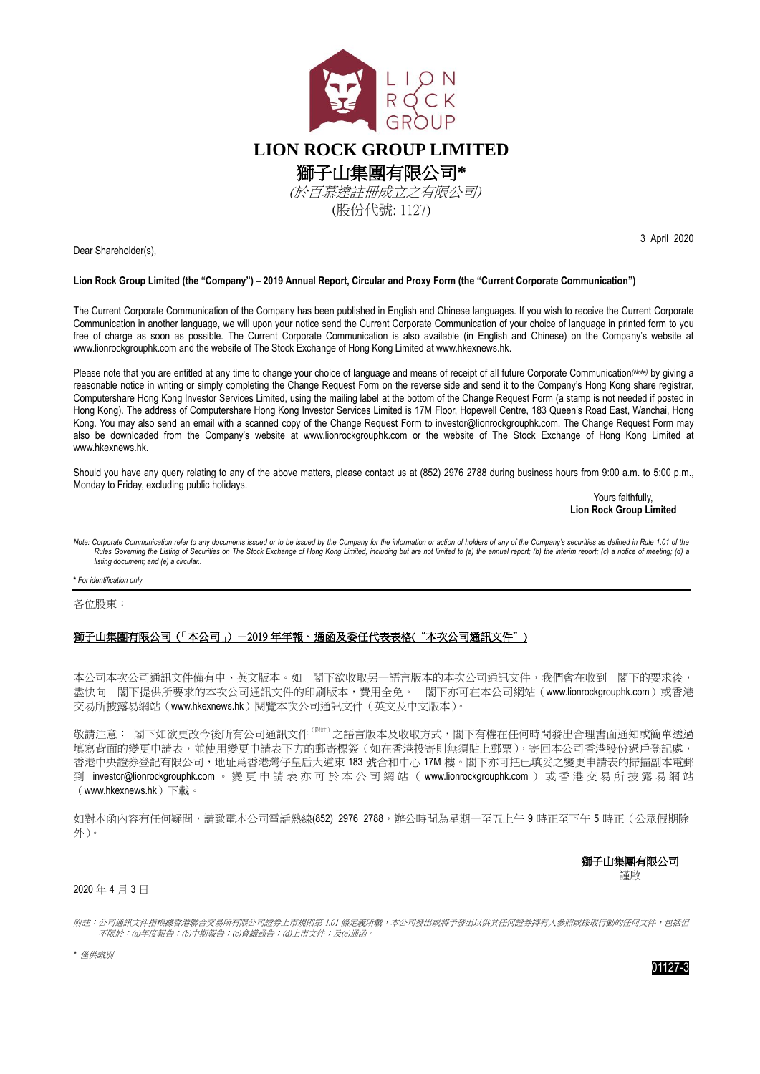

Dear Shareholder(s),

## **Lion Rock Group Limited (the "Company") – 2019 Annual Report, Circular and Proxy Form (the "Current Corporate Communication")**

The Current Corporate Communication of the Company has been published in English and Chinese languages. If you wish to receive the Current Corporate Communication in another language, we will upon your notice send the Current Corporate Communication of your choice of language in printed form to you free of charge as soon as possible. The Current Corporate Communication is also available (in English and Chinese) on the Company's website at www.lionrockgrouphk.com and the website of The Stock Exchange of Hong Kong Limited at [www.hkexnews.hk.](http://www.hkexnews.hk/)

Please note that you are entitled at any time to change your choice of language and means of receipt of all future Corporate Communication<sup>(Note)</sup> by giving a reasonable notice in writing or simply completing the Change Request Form on the reverse side and send it to the Company's Hong Kong share registrar, Computershare Hong Kong Investor Services Limited, using the mailing label at the bottom of the Change Request Form (a stamp is not needed if posted in Hong Kong). The address of Computershare Hong Kong Investor Services Limited is 17M Floor, Hopewell Centre, 183 Queen's Road East, Wanchai, Hong Kong. You may also send an email with a scanned copy of the Change Request Form to [investor@lionrockgrouphk.com.](mailto:investor@lionrockgrouphk.com) The Change Request Form may also be downloaded from the Company's website at www.lionrockgrouphk.com or the website of The Stock Exchange of Hong Kong Limited at [www.hkexnews.hk.](http://www.hkexnews.hk/)

Should you have any query relating to any of the above matters, please contact us at (852) 2976 2788 during business hours from 9:00 a.m. to 5:00 p.m., Monday to Friday, excluding public holidays.

Yours faithfully. **Lion Rock Group Limited**

3 April 2020

.<br>Note: Corporate Communication refer to any documents issued or to be issued by the Company for the information or action of holders of any of the Company's securities as defined in Rule 1.01 of the *Rules Governing the Listing of Securities on The Stock Exchange of Hong Kong Limited, including but are not limited to (a) the annual report; (b) the interim report; (c) a notice of meeting; (d) a listing document; and (e) a circular..*

**\*** *For identification only*

各位股東:

## 獅子山集團有限公司(「本公司」)-2019 年年報、通函及委任代表表格("本次公司通訊文件")

本公司本次公司通訊文件備有中、英文版本。如 閣下欲收取另一語言版本的本次公司通訊文件,我們會在收到 閣下的要求後, 盡快向 閣下提供所要求的本次公司通訊文件的印刷版本,費用全免。 閣下亦可在本公司網站([www.lionrockgrouphk.com](http://www.shanshuigroup.com）中「投資者關係))或香港 交易所披露易網站([www.hkexnews.hk](http://www.hkexnews.hk/))閱覽本次公司通訊文件(英文及中文版本)。

敬請注意: 閣下如欲更改今後所有公司通訊文件 <sup>(附註)</sup>之語言版本及收取方式,閣下有權在任何時間發出合理書面通知或簡單透過 填寫背面的變更申請表,並使用變更申請表下方的郵寄標簽(如在香港投寄則無須貼上郵票),寄回本公司香港股份過戶登記處, 香港中央證券登記有限公司,地址爲香港灣仔皇后大道東 183 號合和中心 17M 樓。閣下亦可把已填妥之變更申請表的掃描副本電郵 到 [investor@lionrockgrouphk.com](mailto:investor@lionrockgrouphk.com) 。 變更申請表亦可 於 本 公 司 網 站 ( www.lionrockgrouphk.com ) 或香港交易所披露易網站 ([www.hkexnews.hk](http://www.hkexnews.hk/))下載。

如對本函內容有任何疑問,請致電本公司電話熱線(852) 2976 2788,辦公時間為星期一至五上午9時正至下午5時正(公眾假期除 外)。

> 獅子山集團有限公司 謹啟

## 2020 年 4 月 3 日

附註:公司通訊文件指根據香港聯合交易所有限公司證券上市規則第 1.01 條定義所載,本公司發出或將予發出以供其任何證券持有人參照或採取行動的任何文件,包括但 不限於:(a)年度報告;(b)中期報告;(c)會議通告;(d)上市文件;及(e)通函。

*\** 僅供識別